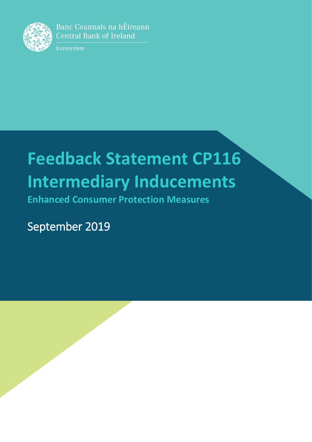

Banc Ceannais na hÉireann **Central Bank of Ireland** 

Eurosystem

# **Feedback Statement CP116 Intermediary Inducements**

**Enhanced Consumer Protection Measures**

September 2019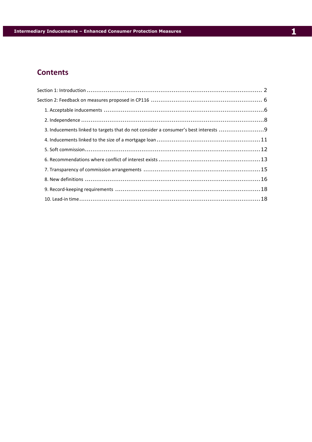# **Contents**

| 3. Inducements linked to targets that do not consider a consumer's best interests 9 |  |
|-------------------------------------------------------------------------------------|--|
|                                                                                     |  |
|                                                                                     |  |
|                                                                                     |  |
|                                                                                     |  |
|                                                                                     |  |
|                                                                                     |  |
|                                                                                     |  |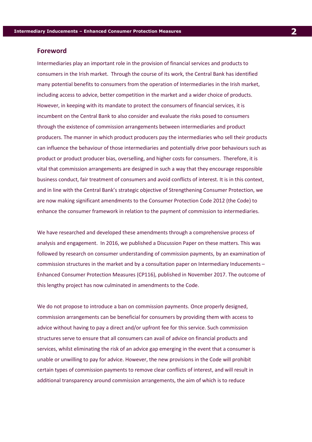# <span id="page-2-0"></span>**Foreword**

Intermediaries play an important role in the provision of financial services and products to consumers in the Irish market. Through the course of its work, the Central Bank has identified many potential benefits to consumers from the operation of Intermediaries in the Irish market, including access to advice, better competition in the market and a wider choice of products. However, in keeping with its mandate to protect the consumers of financial services, it is incumbent on the Central Bank to also consider and evaluate the risks posed to consumers through the existence of commission arrangements between intermediaries and product producers. The manner in which product producers pay the intermediaries who sell their products can influence the behaviour of those intermediaries and potentially drive poor behaviours such as product or product producer bias, overselling, and higher costs for consumers. Therefore, it is vital that commission arrangements are designed in such a way that they encourage responsible business conduct, fair treatment of consumers and avoid conflicts of interest. It is in this context, and in line with the Central Bank's strategic objective of Strengthening Consumer Protection, we are now making significant amendments to the Consumer Protection Code 2012 (the Code) to enhance the consumer framework in relation to the payment of commission to intermediaries.

We have researched and developed these amendments through a comprehensive process of analysis and engagement. In 2016, we published a Discussion Paper on these matters. This was followed by research on consumer understanding of commission payments, by an examination of commission structures in the market and by a consultation paper on Intermediary Inducements – Enhanced Consumer Protection Measures (CP116), published in November 2017. The outcome of this lengthy project has now culminated in amendments to the Code.

We do not propose to introduce a ban on commission payments. Once properly designed, commission arrangements can be beneficial for consumers by providing them with access to advice without having to pay a direct and/or upfront fee for this service. Such commission structures serve to ensure that all consumers can avail of advice on financial products and services, whilst eliminating the risk of an advice gap emerging in the event that a consumer is unable or unwilling to pay for advice. However, the new provisions in the Code will prohibit certain types of commission payments to remove clear conflicts of interest, and will result in additional transparency around commission arrangements, the aim of which is to reduce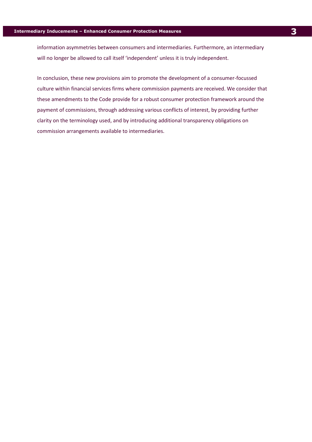information asymmetries between consumers and intermediaries. Furthermore, an intermediary will no longer be allowed to call itself 'independent' unless it is truly independent.

In conclusion, these new provisions aim to promote the development of a consumer-focussed culture within financial services firms where commission payments are received. We consider that these amendments to the Code provide for a robust consumer protection framework around the payment of commissions, through addressing various conflicts of interest, by providing further clarity on the terminology used, and by introducing additional transparency obligations on commission arrangements available to intermediaries.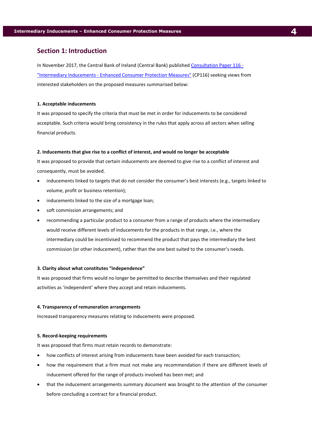# **Section 1: Introduction**

In November 2017, the Central Bank of Ireland (Central Bank) published [Consultation Paper 116 -](https://www.centralbank.ie/docs/default-source/publications/consultation-papers/cp116/cp116-intermediary-inducements---enhanced-consumer-protection-measures.pdf?sfvrsn=2) "Intermediary Inducements - [Enhanced Consumer Protection Measures"](https://www.centralbank.ie/docs/default-source/publications/consultation-papers/cp116/cp116-intermediary-inducements---enhanced-consumer-protection-measures.pdf?sfvrsn=2) (CP116) seeking views from interested stakeholders on the proposed measures summarised below:

#### **1. Acceptable inducements**

It was proposed to specify the criteria that must be met in order for inducements to be considered acceptable. Such criteria would bring consistency in the rules that apply across all sectors when selling financial products.

#### **2. Inducements that give rise to a conflict of interest, and would no longer be acceptable**

It was proposed to provide that certain inducements are deemed to give rise to a conflict of interest and consequently, must be avoided.

- inducements linked to targets that do not consider the consumer's best interests (e.g., targets linked to volume, profit or business retention);
- inducements linked to the size of a mortgage loan;
- soft commission arrangements; and
- recommending a particular product to a consumer from a range of products where the intermediary would receive different levels of inducements for the products in that range, i.e., where the intermediary could be incentivised to recommend the product that pays the intermediary the best commission (or other inducement), rather than the one best suited to the consumer's needs.

#### **3. Clarity about what constitutes "independence"**

It was proposed that firms would no longer be permitted to describe themselves and their regulated activities as 'independent' where they accept and retain inducements.

#### **4. Transparency of remuneration arrangements**

Increased transparency measures relating to inducements were proposed.

#### **5. Record-keeping requirements**

It was proposed that firms must retain records to demonstrate:

- how conflicts of interest arising from inducements have been avoided for each transaction;
- how the requirement that a firm must not make any recommendation if there are different levels of inducement offered for the range of products involved has been met; and
- that the inducement arrangements summary document was brought to the attention of the consumer before concluding a contract for a financial product.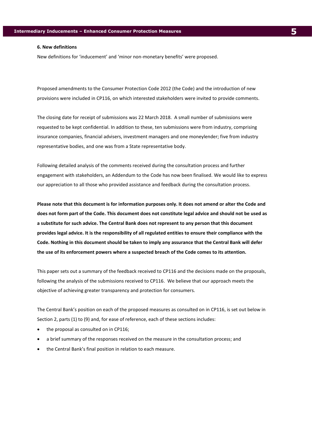#### **6. New definitions**

New definitions for 'inducement' and 'minor non-monetary benefits' were proposed.

Proposed amendments to the Consumer Protection Code 2012 (the Code) and the introduction of new provisions were included in CP116, on which interested stakeholders were invited to provide comments.

The closing date for receipt of submissions was 22 March 2018. A small number of submissions were requested to be kept confidential. In addition to these, ten submissions were from industry, comprising insurance companies, financial advisers, investment managers and one moneylender; five from industry representative bodies, and one was from a State representative body.

Following detailed analysis of the comments received during the consultation process and further engagement with stakeholders, an Addendum to the Code has now been finalised. We would like to express our appreciation to all those who provided assistance and feedback during the consultation process.

**Please note that this document is for information purposes only. It does not amend or alter the Code and does not form part of the Code. This document does not constitute legal advice and should not be used as a substitute for such advice. The Central Bank does not represent to any person that this document provides legal advice. It is the responsibility of all regulated entities to ensure their compliance with the Code. Nothing in this document should be taken to imply any assurance that the Central Bank will defer the use of its enforcement powers where a suspected breach of the Code comes to its attention.**

This paper sets out a summary of the feedback received to CP116 and the decisions made on the proposals, following the analysis of the submissions received to CP116. We believe that our approach meets the objective of achieving greater transparency and protection for consumers.

The Central Bank's position on each of the proposed measures as consulted on in CP116, is set out below in Section 2, parts (1) to (9) and, for ease of reference, each of these sections includes:

- the proposal as consulted on in CP116;
- a brief summary of the responses received on the measure in the consultation process; and
- the Central Bank's final position in relation to each measure.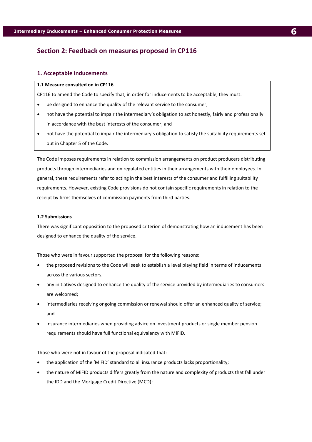# <span id="page-6-0"></span>**Section 2: Feedback on measures proposed in CP116**

# <span id="page-6-1"></span>**1. Acceptable inducements**

#### **1.1 Measure consulted on in CP116**

CP116 to amend the Code to specify that, in order for inducements to be acceptable, they must:

- be designed to enhance the quality of the relevant service to the consumer;
- not have the potential to impair the intermediary's obligation to act honestly, fairly and professionally in accordance with the best interests of the consumer; and
- not have the potential to impair the intermediary's obligation to satisfy the suitability requirements set out in Chapter 5 of the Code.

The Code imposes requirements in relation to commission arrangements on product producers distributing products through intermediaries and on regulated entities in their arrangements with their employees. In general, these requirements refer to acting in the best interests of the consumer and fulfilling suitability requirements. However, existing Code provisions do not contain specific requirements in relation to the receipt by firms themselves of commission payments from third parties.

### **1.2 Submissions**

There was significant opposition to the proposed criterion of demonstrating how an inducement has been designed to enhance the quality of the service.

Those who were in favour supported the proposal for the following reasons:

- the proposed revisions to the Code will seek to establish a level playing field in terms of inducements across the various sectors;
- any initiatives designed to enhance the quality of the service provided by intermediaries to consumers are welcomed;
- intermediaries receiving ongoing commission or renewal should offer an enhanced quality of service; and
- insurance intermediaries when providing advice on investment products or single member pension requirements should have full functional equivalency with MiFID.

Those who were not in favour of the proposal indicated that:

- the application of the 'MiFID' standard to all insurance products lacks proportionality;
- the nature of MiFID products differs greatly from the nature and complexity of products that fall under the IDD and the Mortgage Credit Directive (MCD);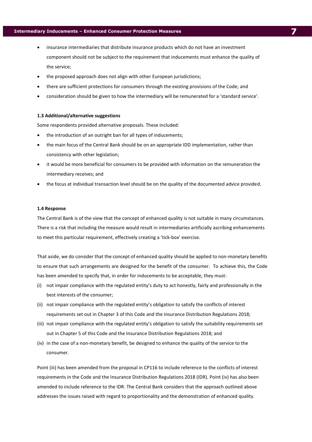# **Intermediary Inducements – Enhanced Consumer Protection Measures 7**

- insurance intermediaries that distribute insurance products which do not have an investment component should not be subject to the requirement that inducements must enhance the quality of the service;
- the proposed approach does not align with other European jurisdictions;
- there are sufficient protections for consumers through the existing provisions of the Code; and
- consideration should be given to how the intermediary will be remunerated for a 'standard service'.

#### **1.3 Additional/alternative suggestions**

Some respondents provided alternative proposals. These included:

- the introduction of an outright ban for all types of inducements;
- the main focus of the Central Bank should be on an appropriate IDD implementation, rather than consistency with other legislation;
- it would be more beneficial for consumers to be provided with information on the remuneration the intermediary receives; and
- the focus at individual transaction level should be on the quality of the documented advice provided.

#### **1.4 Response**

The Central Bank is of the view that the concept of enhanced quality is not suitable in many circumstances. There is a risk that including the measure would result in intermediaries artificially ascribing enhancements to meet this particular requirement, effectively creating a 'tick-box' exercise.

That aside, we do consider that the concept of enhanced quality should be applied to non-monetary benefits to ensure that such arrangements are designed for the benefit of the consumer. To achieve this, the Code has been amended to specify that, in order for inducements to be acceptable, they must:

- (i) not impair compliance with the regulated entity's duty to act honestly, fairly and professionally in the best interests of the consumer;
- (ii) not impair compliance with the regulated entity's obligation to satisfy the conflicts of interest requirements set out in Chapter 3 of this Code and the Insurance Distribution Regulations 2018;
- (iii) not impair compliance with the regulated entity's obligation to satisfy the suitability requirements set out in Chapter 5 of this Code and the Insurance Distribution Regulations 2018; and
- (iv) in the case of a non-monetary benefit, be designed to enhance the quality of the service to the consumer.

Point (iii) has been amended from the proposal in CP116 to include reference to the conflicts of interest requirements in the Code and the Insurance Distribution Regulations 2018 (IDR). Point (iv) has also been amended to include reference to the IDR. The Central Bank considers that the approach outlined above addresses the issues raised with regard to proportionality and the demonstration of enhanced quality.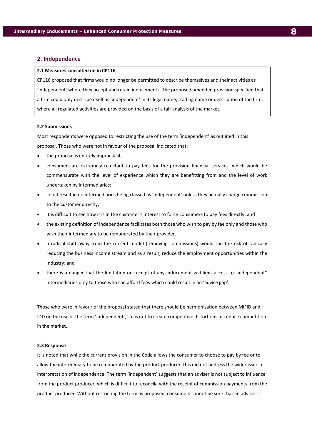#### <span id="page-8-0"></span>**2. Independence**

#### **2.1 Measures consulted on in CP116**

CP116 proposed that firms would no longer be permitted to describe themselves and their activities as 'independent' where they accept and retain inducements. The proposed amended provision specified that a firm could only describe itself as 'independent' in its legal name, trading name or description of the firm, where all regulated activities are provided on the basis of a fair analysis of the market.

#### **2.2 Submissions**

Most respondents were opposed to restricting the use of the term 'independent' as outlined in this proposal. Those who were not in favour of the proposal indicated that:

- the proposal is entirely impractical;
- consumers are extremely reluctant to pay fees for the provision financial services, which would be commensurate with the level of experience which they are benefitting from and the level of work undertaken by intermediaries;
- could result in no intermediaries being classed as 'independent' unless they actually charge commission to the customer directly;
- it is difficult to see how it is in the customer's interest to force consumers to pay fees directly; and
- the existing definition of independence facilitates both those who wish to pay by fee only and those who wish their intermediary to be remunerated by their provider.
- a radical shift away from the current model (removing commissions) would run the risk of radically reducing the business income stream and as a result, reduce the employment opportunities within the industry; and
- there is a danger that the limitation on receipt of any inducement will limit access to "independent" intermediaries only to those who can afford fees which could result in an 'advice gap'.

Those who were in favour of the proposal stated that there should be harmonisation between MiFID and IDD on the use of the term 'independent', so as not to create competitive distortions or reduce competition in the market.

#### **2.3 Response**

It is noted that while the current provision in the Code allows the consumer to choose to pay by fee or to allow the intermediary to be remunerated by the product producer, this did not address the wider issue of interpretation of independence. The term 'independent' suggests that an adviser is not subject to influence from the product producer, which is difficult to reconcile with the receipt of commission payments from the product producer. Without restricting the term as proposed, consumers cannot be sure that an adviser is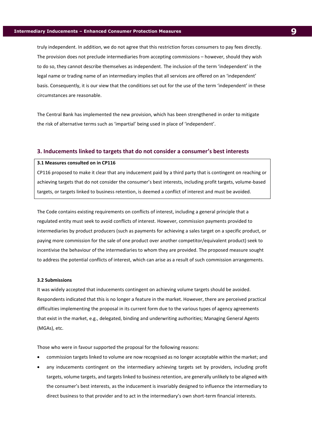truly independent. In addition, we do not agree that this restriction forces consumers to pay fees directly. The provision does not preclude intermediaries from accepting commissions – however, should they wish to do so, they cannot describe themselves as independent. The inclusion of the term 'independent' in the legal name or trading name of an intermediary implies that all services are offered on an 'independent' basis. Consequently, it is our view that the conditions set out for the use of the term 'independent' in these circumstances are reasonable.

The Central Bank has implemented the new provision, which has been strengthened in order to mitigate the risk of alternative terms such as 'impartial' being used in place of 'independent'.

#### <span id="page-9-0"></span>**3. Inducements linked to targets that do not consider a consumer's best interests**

#### **3.1 Measures consulted on in CP116**

CP116 proposed to make it clear that any inducement paid by a third party that is contingent on reaching or achieving targets that do not consider the consumer's best interests, including profit targets, volume-based targets, or targets linked to business retention, is deemed a conflict of interest and must be avoided.

The Code contains existing requirements on conflicts of interest, including a general principle that a regulated entity must seek to avoid conflicts of interest. However, commission payments provided to intermediaries by product producers (such as payments for achieving a sales target on a specific product, or paying more commission for the sale of one product over another competitor/equivalent product) seek to incentivise the behaviour of the intermediaries to whom they are provided. The proposed measure sought to address the potential conflicts of interest, which can arise as a result of such commission arrangements.

#### **3.2 Submissions**

It was widely accepted that inducements contingent on achieving volume targets should be avoided. Respondents indicated that this is no longer a feature in the market. However, there are perceived practical difficulties implementing the proposal in its current form due to the various types of agency agreements that exist in the market, e.g., delegated, binding and underwriting authorities; Managing General Agents (MGAs), etc.

Those who were in favour supported the proposal for the following reasons:

- commission targets linked to volume are now recognised as no longer acceptable within the market; and
- any inducements contingent on the intermediary achieving targets set by providers, including profit targets, volume targets, and targets linked to business retention, are generally unlikely to be aligned with the consumer's best interests, as the inducement is invariably designed to influence the intermediary to direct business to that provider and to act in the intermediary's own short-term financial interests.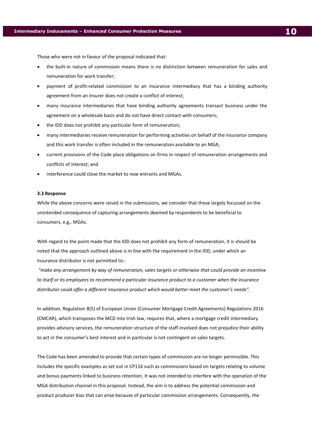Those who were not in favour of the proposal indicated that:

- the built-in nature of commission means there is no distinction between remuneration for sales and remuneration for work transfer;
- payment of profit-related commission to an insurance intermediary that has a binding authority agreement from an insurer does not create a conflict of interest;
- many insurance intermediaries that have binding authority agreements transact business under the agreement on a wholesale basis and do not have direct contact with consumers;
- the IDD does not prohibit any particular form of remuneration;
- many intermediaries receive remuneration for performing activities on behalf of the insurance company and this work transfer is often included in the remuneration available to an MGA;
- current provisions of the Code place obligations on firms in respect of remuneration arrangements and conflicts of interest; and
- interference could close the market to new entrants and MGAs.

#### **3.3 Response**

While the above concerns were raised in the submissions, we consider that these largely focussed on the unintended consequence of capturing arrangements deemed by respondents to be beneficial to consumers, e.g., MGAs.

With regard to the point made that the IDD does not prohibit any form of remuneration, it is should be noted that the approach outlined above is in line with the requirement in the IDD, under which an insurance distributor is not permitted to:-

*"make any arrangement by way of remuneration, sales targets or otherwise that could provide an incentive to itself or its employees to recommend a particular insurance product to a customer when the insurance distributor could offer a different insurance product which would better meet the customer's needs".*

In addition, Regulation 8(5) of European Union (Consumer Mortgage Credit Agreements) Regulations 2016 (CMCAR), which transposes the MCD into Irish law, requires that, where a mortgage credit intermediary provides advisory services, the remuneration structure of the staff involved does not prejudice their ability to act in the consumer's best interest and in particular is not contingent on sales targets.

The Code has been amended to provide that certain types of commission are no longer permissible. This includes the specific examples as set out in CP116 such as commissions based on targets relating to volume and bonus payments linked to business retention. It was not intended to interfere with the operation of the MGA distribution channel in this proposal. Instead, the aim is to address the potential commission and product producer bias that can arise because of particular commission arrangements. Consequently, the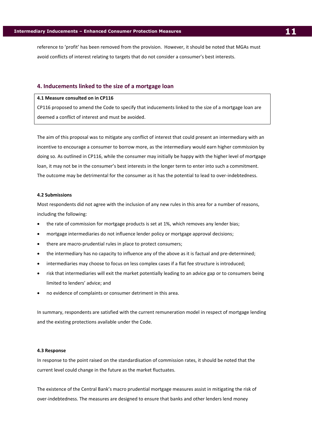reference to 'profit' has been removed from the provision. However, it should be noted that MGAs must avoid conflicts of interest relating to targets that do not consider a consumer's best interests.

#### <span id="page-11-0"></span>**4. Inducements linked to the size of a mortgage loan**

## **4.1 Measure consulted on in CP116**

CP116 proposed to amend the Code to specify that inducements linked to the size of a mortgage loan are deemed a conflict of interest and must be avoided.

The aim of this proposal was to mitigate any conflict of interest that could present an intermediary with an incentive to encourage a consumer to borrow more, as the intermediary would earn higher commission by doing so. As outlined in CP116, while the consumer may initially be happy with the higher level of mortgage loan, it may not be in the consumer's best interests in the longer term to enter into such a commitment. The outcome may be detrimental for the consumer as it has the potential to lead to over-indebtedness.

#### **4.2 Submissions**

Most respondents did not agree with the inclusion of any new rules in this area for a number of reasons, including the following:

- the rate of commission for mortgage products is set at 1%, which removes any lender bias;
- mortgage intermediaries do not influence lender policy or mortgage approval decisions;
- there are macro-prudential rules in place to protect consumers;
- the intermediary has no capacity to influence any of the above as it is factual and pre-determined;
- intermediaries may choose to focus on less complex cases if a flat fee structure is introduced;
- risk that intermediaries will exit the market potentially leading to an advice gap or to consumers being limited to lenders' advice; and
- no evidence of complaints or consumer detriment in this area.

In summary, respondents are satisfied with the current remuneration model in respect of mortgage lending and the existing protections available under the Code.

#### **4.3 Response**

In response to the point raised on the standardisation of commission rates, it should be noted that the current level could change in the future as the market fluctuates.

The existence of the Central Bank's macro prudential mortgage measures assist in mitigating the risk of over-indebtedness. The measures are designed to ensure that banks and other lenders lend money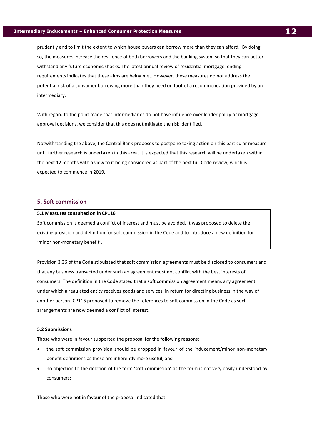prudently and to limit the extent to which house buyers can borrow more than they can afford. By doing so, the measures increase the resilience of both borrowers and the banking system so that they can better withstand any future economic shocks. The latest annual review of residential mortgage lending requirements indicates that these aims are being met. However, these measures do not address the potential risk of a consumer borrowing more than they need on foot of a recommendation provided by an intermediary.

With regard to the point made that intermediaries do not have influence over lender policy or mortgage approval decisions, we consider that this does not mitigate the risk identified.

Notwithstanding the above, the Central Bank proposes to postpone taking action on this particular measure until further research is undertaken in this area. It is expected that this research will be undertaken within the next 12 months with a view to it being considered as part of the next full Code review, which is expected to commence in 2019.

#### <span id="page-12-0"></span>**5. Soft commission**

# **5.1 Measures consulted on in CP116**

Soft commission is deemed a conflict of interest and must be avoided. It was proposed to delete the existing provision and definition for soft commission in the Code and to introduce a new definition for 'minor non-monetary benefit'.

Provision 3.36 of the Code stipulated that soft commission agreements must be disclosed to consumers and that any business transacted under such an agreement must not conflict with the best interests of consumers. The definition in the Code stated that a soft commission agreement means any agreement under which a regulated entity receives goods and services, in return for directing business in the way of another person. CP116 proposed to remove the references to soft commission in the Code as such arrangements are now deemed a conflict of interest.

#### **5.2 Submissions**

Those who were in favour supported the proposal for the following reasons:

- the soft commission provision should be dropped in favour of the inducement/minor non-monetary benefit definitions as these are inherently more useful, and
- no objection to the deletion of the term 'soft commission' as the term is not very easily understood by consumers;

Those who were not in favour of the proposal indicated that: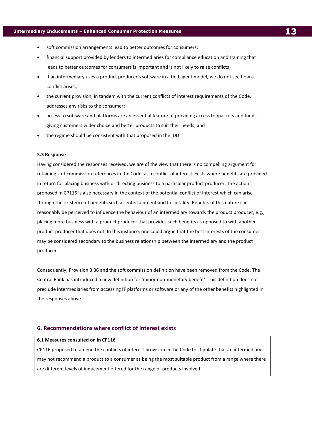- soft commission arrangements lead to better outcomes for consumers;
- financial support provided by lenders to intermediaries for compliance education and training that leads to better outcomes for consumers is important and is not likely to raise conflicts;
- if an intermediary uses a product producer's software in a tied agent model, we do not see how a conflict arises;
- the current provision, in tandem with the current conflicts of interest requirements of the Code, addresses any risks to the consumer;
- access to software and platforms are an essential feature of providing access to markets and funds, giving customers wider choice and better products to suit their needs, and
- the regime should be consistent with that proposed in the IDD.

#### **5.3 Response**

Having considered the responses received, we are of the view that there is no compelling argument for retaining soft commission references in the Code, as a conflict of interest exists where benefits are provided in return for placing business with or directing business to a particular product producer. The action proposed in CP116 is also necessary in the context of the potential conflict of interest which can arise through the existence of benefits such as entertainment and hospitality. Benefits of this nature can reasonably be perceived to influence the behaviour of an intermediary towards the product producer, e.g., placing more business with a product producer that provides such benefits as opposed to with another product producer that does not. In this instance, one could argue that the best interests of the consumer may be considered secondary to the business relationship between the intermediary and the product producer.

Consequently, Provision 3.36 and the soft commission definition have been removed from the Code. The Central Bank has introduced a new definition for 'minor non-monetary benefit'. This definition does not preclude intermediaries from accessing IT platforms or software or any of the other benefits highlighted in the responses above.

#### <span id="page-13-0"></span>**6. Recommendations where conflict of interest exists**

#### **6.1 Measures consulted on in CP116**

CP116 proposed to amend the conflicts of interest provision in the Code to stipulate that an intermediary may not recommend a product to a consumer as being the most suitable product from a range where there are different levels of inducement offered for the range of products involved.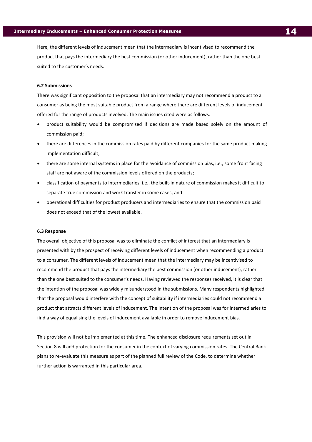Here, the different levels of inducement mean that the intermediary is incentivised to recommend the product that pays the intermediary the best commission (or other inducement), rather than the one best suited to the customer's needs.

#### **6.2 Submissions**

There was significant opposition to the proposal that an intermediary may not recommend a product to a consumer as being the most suitable product from a range where there are different levels of inducement offered for the range of products involved. The main issues cited were as follows:

- product suitability would be compromised if decisions are made based solely on the amount of commission paid;
- there are differences in the commission rates paid by different companies for the same product making implementation difficult;
- there are some internal systems in place for the avoidance of commission bias, i.e., some front facing staff are not aware of the commission levels offered on the products;
- classification of payments to intermediaries, i.e., the built-in nature of commission makes it difficult to separate true commission and work transfer in some cases, and
- operational difficulties for product producers and intermediaries to ensure that the commission paid does not exceed that of the lowest available.

#### **6.3 Response**

The overall objective of this proposal was to eliminate the conflict of interest that an intermediary is presented with by the prospect of receiving different levels of inducement when recommending a product to a consumer. The different levels of inducement mean that the intermediary may be incentivised to recommend the product that pays the intermediary the best commission (or other inducement), rather than the one best suited to the consumer's needs. Having reviewed the responses received, it is clear that the intention of the proposal was widely misunderstood in the submissions. Many respondents highlighted that the proposal would interfere with the concept of suitability if intermediaries could not recommend a product that attracts different levels of inducement. The intention of the proposal was for intermediaries to find a way of equalising the levels of inducement available in order to remove inducement bias.

This provision will not be implemented at this time. The enhanced disclosure requirements set out in Section 8 will add protection for the consumer in the context of varying commission rates. The Central Bank plans to re-evaluate this measure as part of the planned full review of the Code, to determine whether further action is warranted in this particular area.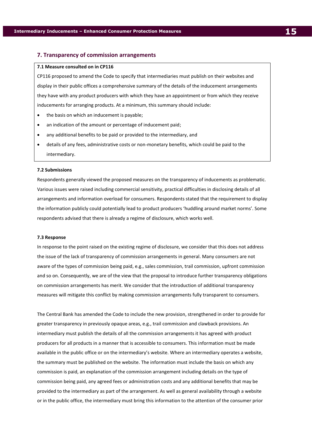# <span id="page-15-0"></span>**7. Transparency of commission arrangements**

#### **7.1 Measure consulted on in CP116**

CP116 proposed to amend the Code to specify that intermediaries must publish on their websites and display in their public offices a comprehensive summary of the details of the inducement arrangements they have with any product producers with which they have an appointment or from which they receive inducements for arranging products. At a minimum, this summary should include:

- the basis on which an inducement is payable;
- an indication of the amount or percentage of inducement paid;
- any additional benefits to be paid or provided to the intermediary, and
- details of any fees, administrative costs or non-monetary benefits, which could be paid to the intermediary.

#### **7.2 Submissions**

Respondents generally viewed the proposed measures on the transparency of inducements as problematic. Various issues were raised including commercial sensitivity, practical difficulties in disclosing details of all arrangements and information overload for consumers. Respondents stated that the requirement to display the information publicly could potentially lead to product producers 'huddling around market norms'. Some respondents advised that there is already a regime of disclosure, which works well.

#### **7.3 Response**

In response to the point raised on the existing regime of disclosure, we consider that this does not address the issue of the lack of transparency of commission arrangements in general. Many consumers are not aware of the types of commission being paid, e.g., sales commission, trail commission, upfront commission and so on. Consequently, we are of the view that the proposal to introduce further transparency obligations on commission arrangements has merit. We consider that the introduction of additional transparency measures will mitigate this conflict by making commission arrangements fully transparent to consumers.

The Central Bank has amended the Code to include the new provision, strengthened in order to provide for greater transparency in previously opaque areas, e.g., trail commission and clawback provisions. An intermediary must publish the details of all the commission arrangements it has agreed with product producers for all products in a manner that is accessible to consumers. This information must be made available in the public office or on the intermediary's website. Where an intermediary operates a website, the summary must be published on the website. The information must include the basis on which any commission is paid, an explanation of the commission arrangement including details on the type of commission being paid, any agreed fees or administration costs and any additional benefits that may be provided to the intermediary as part of the arrangement. As well as general availability through a website or in the public office, the intermediary must bring this information to the attention of the consumer prior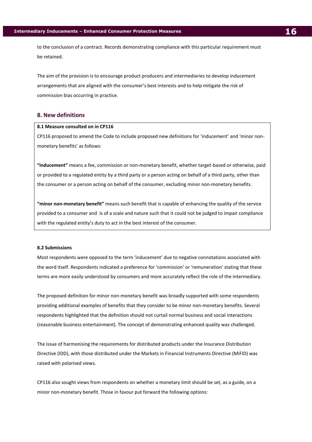to the conclusion of a contract. Records demonstrating compliance with this particular requirement must be retained.

The aim of the provision is to encourage product producers and intermediaries to develop inducement arrangements that are aligned with the consumer's best interests and to help mitigate the risk of commission bias occurring in practice.

# <span id="page-16-0"></span>**8. New definitions**

#### **8.1 Measure consulted on in CP116**

CP116 proposed to amend the Code to include proposed new definitions for 'inducement' and 'minor nonmonetary benefits' as follows:

**"inducement"** means a fee, commission or non-monetary benefit, whether target-based or otherwise, paid or provided to a regulated entity by a third party or a person acting on behalf of a third party, other than the consumer or a person acting on behalf of the consumer, excluding minor non-monetary benefits.

**"minor non-monetary benefit"** means such benefit that is capable of enhancing the quality of the service provided to a consumer and is of a scale and nature such that it could not be judged to impair compliance with the regulated entity's duty to act in the best interest of the consumer.

#### **8.2 Submissions**

Most respondents were opposed to the term 'inducement' due to negative connotations associated with the word itself. Respondents indicated a preference for 'commission' or 'remuneration' stating that these terms are more easily understood by consumers and more accurately reflect the role of the intermediary.

The proposed definition for minor non-monetary benefit was broadly supported with some respondents providing additional examples of benefits that they consider to be minor non-monetary benefits. Several respondents highlighted that the definition should not curtail normal business and social interactions (reasonable business entertainment). The concept of demonstrating enhanced quality was challenged.

The issue of harmonising the requirements for distributed products under the Insurance Distribution Directive (IDD), with those distributed under the Markets in Financial Instruments Directive (MiFID) was raised with polarised views.

CP116 also sought views from respondents on whether a monetary limit should be set, as a guide, on a minor non-monetary benefit. Those in favour put forward the following options: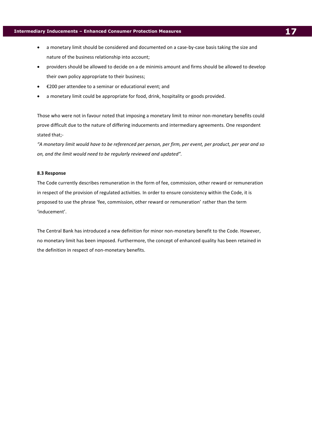- a monetary limit should be considered and documented on a case-by-case basis taking the size and nature of the business relationship into account;
- providers should be allowed to decide on a de minimis amount and firms should be allowed to develop their own policy appropriate to their business;
- €200 per attendee to a seminar or educational event; and
- a monetary limit could be appropriate for food, drink, hospitality or goods provided.

Those who were not in favour noted that imposing a monetary limit to minor non-monetary benefits could prove difficult due to the nature of differing inducements and intermediary agreements. One respondent stated that;-

*"A monetary limit would have to be referenced per person, per firm, per event, per product, per year and so on, and the limit would need to be regularly reviewed and updated".*

#### **8.3 Response**

The Code currently describes remuneration in the form of fee, commission, other reward or remuneration in respect of the provision of regulated activities. In order to ensure consistency within the Code, it is proposed to use the phrase 'fee, commission, other reward or remuneration' rather than the term 'inducement'.

The Central Bank has introduced a new definition for minor non-monetary benefit to the Code. However, no monetary limit has been imposed. Furthermore, the concept of enhanced quality has been retained in the definition in respect of non-monetary benefits.